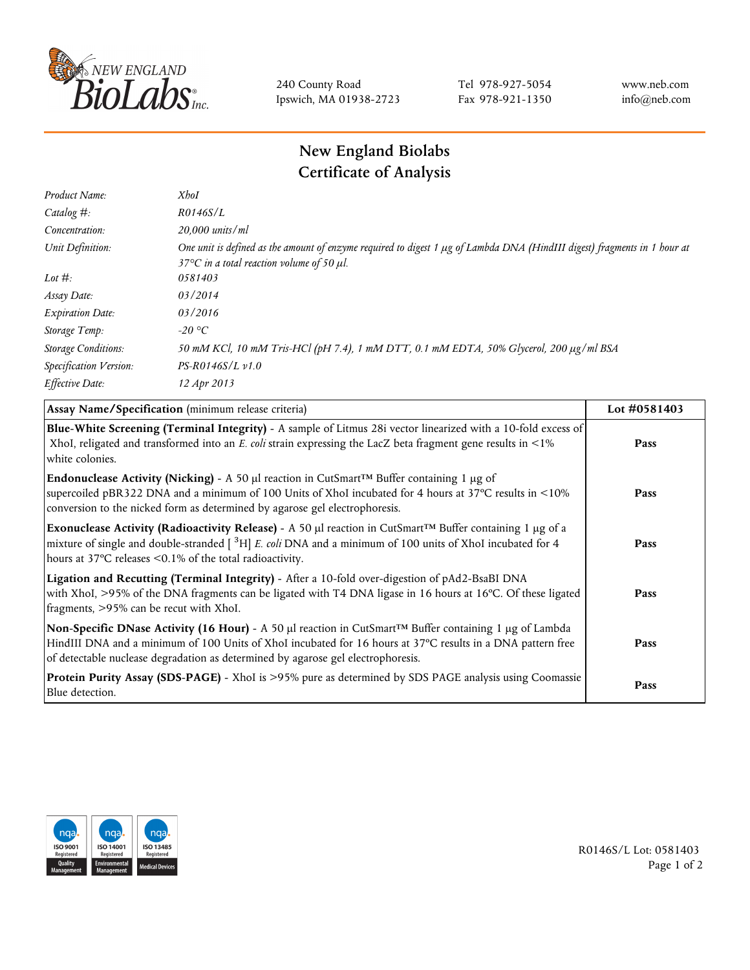

240 County Road Ipswich, MA 01938-2723 Tel 978-927-5054 Fax 978-921-1350 www.neb.com info@neb.com

## **New England Biolabs Certificate of Analysis**

| Product Name:              | <b>XhoI</b>                                                                                                                                                                           |
|----------------------------|---------------------------------------------------------------------------------------------------------------------------------------------------------------------------------------|
| Catalog $#$ :              | R0146S/L                                                                                                                                                                              |
| Concentration:             | 20,000 units/ml                                                                                                                                                                       |
| Unit Definition:           | One unit is defined as the amount of enzyme required to digest 1 µg of Lambda DNA (HindIII digest) fragments in 1 hour at<br>37 $\degree$ C in a total reaction volume of 50 $\mu$ l. |
| Lot $#$ :                  | 0581403                                                                                                                                                                               |
| Assay Date:                | 03/2014                                                                                                                                                                               |
| <b>Expiration Date:</b>    | 03/2016                                                                                                                                                                               |
| Storage Temp:              | -20 °C                                                                                                                                                                                |
| <b>Storage Conditions:</b> | 50 mM KCl, 10 mM Tris-HCl (pH 7.4), 1 mM DTT, 0.1 mM EDTA, 50% Glycerol, 200 µg/ml BSA                                                                                                |
| Specification Version:     | $PS-R0146S/L \nu 1.0$                                                                                                                                                                 |
| Effective Date:            | 12 Apr 2013                                                                                                                                                                           |
|                            |                                                                                                                                                                                       |

| Assay Name/Specification (minimum release criteria)                                                                                                                                                                                                                                                                        | Lot #0581403 |
|----------------------------------------------------------------------------------------------------------------------------------------------------------------------------------------------------------------------------------------------------------------------------------------------------------------------------|--------------|
| Blue-White Screening (Terminal Integrity) - A sample of Litmus 28i vector linearized with a 10-fold excess of<br>XhoI, religated and transformed into an E. coli strain expressing the LacZ beta fragment gene results in <1%<br>white colonies.                                                                           | Pass         |
| <b>Endonuclease Activity (Nicking)</b> - A 50 µl reaction in CutSmart <sup>TM</sup> Buffer containing 1 µg of<br>supercoiled pBR322 DNA and a minimum of 100 Units of XhoI incubated for 4 hours at 37°C results in <10%<br>conversion to the nicked form as determined by agarose gel electrophoresis.                    | Pass         |
| Exonuclease Activity (Radioactivity Release) - A 50 $\mu$ l reaction in CutSmart <sup>TM</sup> Buffer containing 1 $\mu$ g of a<br>mixture of single and double-stranded $[$ <sup>3</sup> H $]$ E. coli DNA and a minimum of 100 units of XhoI incubated for 4<br>hours at 37°C releases <0.1% of the total radioactivity. | Pass         |
| Ligation and Recutting (Terminal Integrity) - After a 10-fold over-digestion of pAd2-BsaBI DNA<br>with XhoI, >95% of the DNA fragments can be ligated with T4 DNA ligase in 16 hours at 16°C. Of these ligated<br>fragments, >95% can be recut with XhoI.                                                                  | Pass         |
| Non-Specific DNase Activity (16 Hour) - A 50 µl reaction in CutSmart™ Buffer containing 1 µg of Lambda<br>HindIII DNA and a minimum of 100 Units of XhoI incubated for 16 hours at 37°C results in a DNA pattern free<br>of detectable nuclease degradation as determined by agarose gel electrophoresis.                  | Pass         |
| Protein Purity Assay (SDS-PAGE) - XhoI is >95% pure as determined by SDS PAGE analysis using Coomassie<br>Blue detection.                                                                                                                                                                                                  | Pass         |



R0146S/L Lot: 0581403 Page 1 of 2